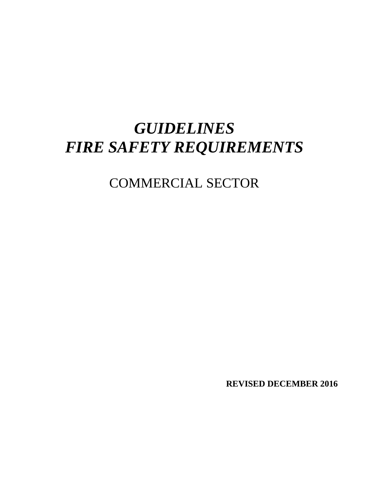# *GUIDELINES FIRE SAFETY REQUIREMENTS*

# COMMERCIAL SECTOR

**REVISED DECEMBER 2016**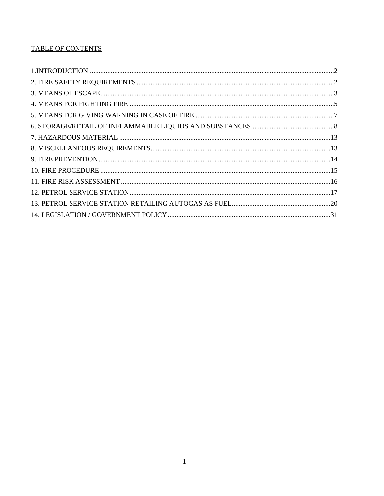# **TABLE OF CONTENTS**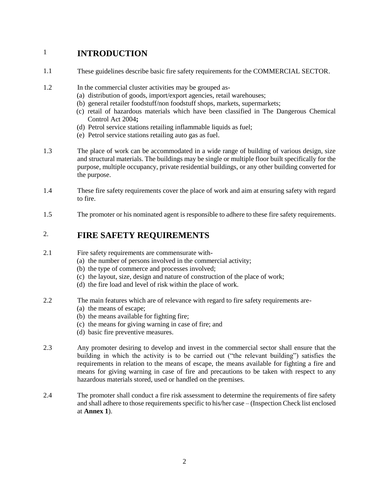# <span id="page-2-0"></span>1 **INTRODUCTION**

- 1.1 These guidelines describe basic fire safety requirements for the COMMERCIAL SECTOR.
- 1.2 In the commercial cluster activities may be grouped as-
	- (a) distribution of goods, import/export agencies, retail warehouses;
	- (b) general retailer foodstuff/non foodstuff shops, markets, supermarkets;
	- (c) retail of hazardous materials which have been classified in The Dangerous Chemical Control Act 2004**;**
	- (d) Petrol service stations retailing inflammable liquids as fuel;
	- (e) Petrol service stations retailing auto gas as fuel.
- 1.3 The place of work can be accommodated in a wide range of building of various design, size and structural materials. The buildings may be single or multiple floor built specifically for the purpose, multiple occupancy, private residential buildings, or any other building converted for the purpose.
- 1.4 These fire safety requirements cover the place of work and aim at ensuring safety with regard to fire.
- 1.5 The promoter or his nominated agent is responsible to adhere to these fire safety requirements.

# <span id="page-2-1"></span>2. **FIRE SAFETY REQUIREMENTS**

- 2.1 Fire safety requirements are commensurate with-
	- (a) the number of persons involved in the commercial activity;
	- (b) the type of commerce and processes involved;
	- (c) the layout, size, design and nature of construction of the place of work;
	- (d) the fire load and level of risk within the place of work.
- 2.2 The main features which are of relevance with regard to fire safety requirements are-
	- (a) the means of escape;
	- (b) the means available for fighting fire;
	- (c) the means for giving warning in case of fire; and
	- (d) basic fire preventive measures.
- 2.3 Any promoter desiring to develop and invest in the commercial sector shall ensure that the building in which the activity is to be carried out ("the relevant building") satisfies the requirements in relation to the means of escape, the means available for fighting a fire and means for giving warning in case of fire and precautions to be taken with respect to any hazardous materials stored, used or handled on the premises.
- 2.4 The promoter shall conduct a fire risk assessment to determine the requirements of fire safety and shall adhere to those requirements specific to his/her case – (Inspection Check list enclosed at **Annex 1**).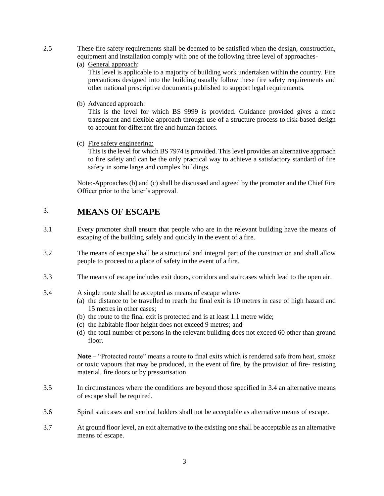- 2.5 These fire safety requirements shall be deemed to be satisfied when the design, construction, equipment and installation comply with one of the following three level of approaches-
	- (a) General approach:

This level is applicable to a majority of building work undertaken within the country. Fire precautions designed into the building usually follow these fire safety requirements and other national prescriptive documents published to support legal requirements.

(b) Advanced approach:

This is the level for which BS 9999 is provided. Guidance provided gives a more transparent and flexible approach through use of a structure process to risk-based design to account for different fire and human factors.

(c) Fire safety engineering:

This is the level for which BS 7974 is provided. This level provides an alternative approach to fire safety and can be the only practical way to achieve a satisfactory standard of fire safety in some large and complex buildings.

<span id="page-3-0"></span>Note:-Approaches (b) and (c) shall be discussed and agreed by the promoter and the Chief Fire Officer prior to the latter's approval.

# 3. **MEANS OF ESCAPE**

- 3.1 Every promoter shall ensure that people who are in the relevant building have the means of escaping of the building safely and quickly in the event of a fire.
- 3.2 The means of escape shall be a structural and integral part of the construction and shall allow people to proceed to a place of safety in the event of a fire.
- 3.3 The means of escape includes exit doors, corridors and staircases which lead to the open air.
- 3.4 A single route shall be accepted as means of escape where-
	- (a) the distance to be travelled to reach the final exit is 10 metres in case of high hazard and 15 metres in other cases;
	- (b) the route to the final exit is protected and is at least 1.1 metre wide;
	- (c) the habitable floor height does not exceed 9 metres; and
	- (d) the total number of persons in the relevant building does not exceed 60 other than ground floor.

**Note** – "Protected route" means a route to final exits which is rendered safe from heat, smoke or toxic vapours that may be produced, in the event of fire, by the provision of fire- resisting material, fire doors or by pressurisation.

- 3.5 In circumstances where the conditions are beyond those specified in 3.4 an alternative means of escape shall be required.
- 3.6 Spiral staircases and vertical ladders shall not be acceptable as alternative means of escape.
- 3.7 At ground floor level, an exit alternative to the existing one shall be acceptable as an alternative means of escape.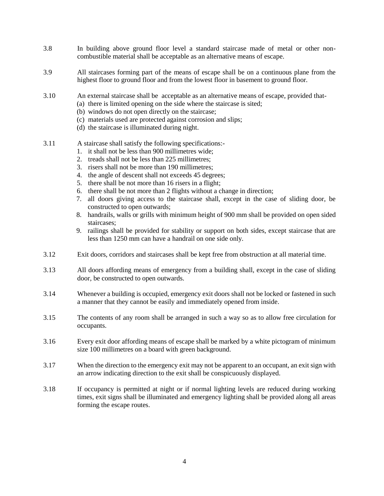- 3.8 In building above ground floor level a standard staircase made of metal or other noncombustible material shall be acceptable as an alternative means of escape.
- 3.9 All staircases forming part of the means of escape shall be on a continuous plane from the highest floor to ground floor and from the lowest floor in basement to ground floor.
- 3.10 An external staircase shall be acceptable as an alternative means of escape, provided that-
	- (a) there is limited opening on the side where the staircase is sited;
		- (b) windows do not open directly on the staircase;
		- (c) materials used are protected against corrosion and slips;
		- (d) the staircase is illuminated during night.
- 3.11 A staircase shall satisfy the following specifications:-
	- 1. it shall not be less than 900 millimetres wide;
	- 2. treads shall not be less than 225 millimetres;
	- 3. risers shall not be more than 190 millimetres;
	- 4. the angle of descent shall not exceeds 45 degrees;
	- 5. there shall be not more than 16 risers in a flight;
	- 6. there shall be not more than 2 flights without a change in direction;
	- 7. all doors giving access to the staircase shall, except in the case of sliding door, be constructed to open outwards;
	- 8. handrails, walls or grills with minimum height of 900 mm shall be provided on open sided staircases;
	- 9. railings shall be provided for stability or support on both sides, except staircase that are less than 1250 mm can have a handrail on one side only.
- 3.12 Exit doors, corridors and staircases shall be kept free from obstruction at all material time.
- 3.13 All doors affording means of emergency from a building shall, except in the case of sliding door, be constructed to open outwards.
- 3.14 Whenever a building is occupied, emergency exit doors shall not be locked or fastened in such a manner that they cannot be easily and immediately opened from inside.
- 3.15 The contents of any room shall be arranged in such a way so as to allow free circulation for occupants.
- 3.16 Every exit door affording means of escape shall be marked by a white pictogram of minimum size 100 millimetres on a board with green background.
- 3.17 When the direction to the emergency exit may not be apparent to an occupant, an exit sign with an arrow indicating direction to the exit shall be conspicuously displayed.
- 3.18 If occupancy is permitted at night or if normal lighting levels are reduced during working times, exit signs shall be illuminated and emergency lighting shall be provided along all areas forming the escape routes.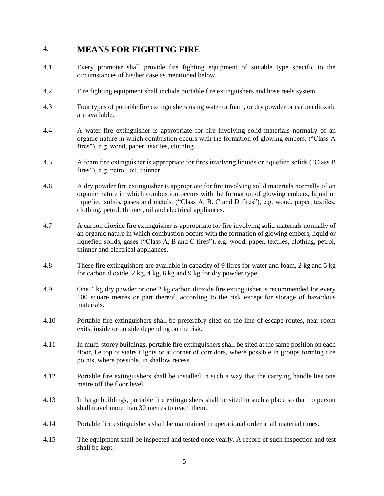# <span id="page-5-0"></span>4. **MEANS FOR FIGHTING FIRE**

- 4.1 Every promoter shall provide fire fighting equipment of suitable type specific to the circumstances of his/her case as mentioned below.
- 4.2 Fire fighting equipment shall include portable fire extinguishers and hose reels system.
- 4.3 Four types of portable fire extinguishers using water or foam, or dry powder or carbon dioxide are available.
- 4.4 A water fire extinguisher is appropriate for fire involving solid materials normally of an organic nature in which combustion occurs with the formation of glowing embers. ("Class A fires"), e.g. wood, paper, textiles, clothing.
- 4.5 A foam fire extinguisher is appropriate for fires involving liquids or liquefied solids ("Class B fires"), e.g. petrol, oil, thinner.
- 4.6 A dry powder fire extinguisher is appropriate for fire involving solid materials normally of an organic nature in which combustion occurs with the formation of glowing embers, liquid or liquefied solids, gases and metals. ("Class A, B, C and D fires"), e.g. wood, paper, textiles, clothing, petrol, thinner, oil and electrical appliances.
- 4.7 A carbon dioxide fire extinguisher is appropriate for fire involving solid materials normally of an organic nature in which combustion occurs with the formation of glowing embers, liquid or liquefied solids, gases ("Class A, B and C fires"), e.g. wood, paper, textiles, clothing, petrol, thinner and electrical appliances.
- 4.8 These fire extinguishers are available in capacity of 9 litres for water and foam, 2 kg and 5 kg for carbon dioxide, 2 kg, 4 kg, 6 kg and 9 kg for dry powder type.
- 4.9 One 4 kg dry powder or one 2 kg carbon dioxide fire extinguisher is recommended for every 100 square metres or part thereof, according to the risk except for storage of hazardous materials.
- 4.10 Portable fire extinguishers shall be preferably sited on the line of escape routes, near room exits, inside or outside depending on the risk.
- 4.11 In multi-storey buildings, portable fire extinguishers shall be sited at the same position on each floor, i.e top of stairs flights or at corner of corridors, where possible in groups forming fire points, where possible, in shallow recess.
- 4.12 Portable fire extinguishers shall be installed in such a way that the carrying handle lies one metre off the floor level.
- 4.13 In large buildings, portable fire extinguishers shall be sited in such a place so that no person shall travel more than 30 metres to reach them.
- 4.14 Portable fire extinguishers shall be maintained in operational order at all material times.
- 4.15 The equipment shall be inspected and tested once yearly. A record of such inspection and test shall be kept.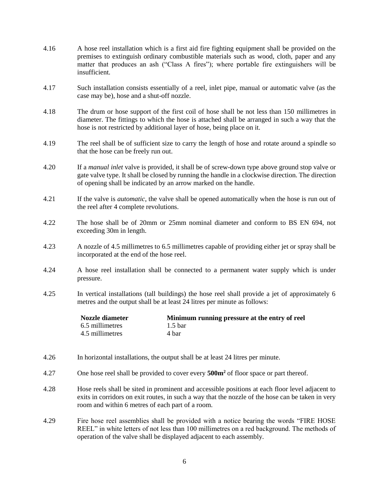- 4.16 A hose reel installation which is a first aid fire fighting equipment shall be provided on the premises to extinguish ordinary combustible materials such as wood, cloth, paper and any matter that produces an ash ("Class A fires"); where portable fire extinguishers will be insufficient.
- 4.17 Such installation consists essentially of a reel, inlet pipe, manual or automatic valve (as the case may be), hose and a shut-off nozzle.
- 4.18 The drum or hose support of the first coil of hose shall be not less than 150 millimetres in diameter. The fittings to which the hose is attached shall be arranged in such a way that the hose is not restricted by additional layer of hose, being place on it.
- 4.19 The reel shall be of sufficient size to carry the length of hose and rotate around a spindle so that the hose can be freely run out.
- 4.20 If a *manual inlet* valve is provided, it shall be of screw-down type above ground stop valve or gate valve type. It shall be closed by running the handle in a clockwise direction. The direction of opening shall be indicated by an arrow marked on the handle.
- 4.21 If the valve is *automatic*, the valve shall be opened automatically when the hose is run out of the reel after 4 complete revolutions.
- 4.22 The hose shall be of 20mm or 25mm nominal diameter and conform to BS EN 694, not exceeding 30m in length.
- 4.23 A nozzle of 4.5 millimetres to 6.5 millimetres capable of providing either jet or spray shall be incorporated at the end of the hose reel.
- 4.24 A hose reel installation shall be connected to a permanent water supply which is under pressure.
- 4.25 In vertical installations (tall buildings) the hose reel shall provide a jet of approximately 6 metres and the output shall be at least 24 litres per minute as follows:

| Nozzle diameter | Minimum running pressure at the entry of reel |
|-----------------|-----------------------------------------------|
| 6.5 millimetres | 1.5 <sub>bar</sub>                            |
| 4.5 millimetres | 4 bar                                         |

- 4.26 In horizontal installations, the output shall be at least 24 litres per minute.
- 4.27 One hose reel shall be provided to cover every **500m<sup>2</sup>** of floor space or part thereof.
- 4.28 Hose reels shall be sited in prominent and accessible positions at each floor level adjacent to exits in corridors on exit routes, in such a way that the nozzle of the hose can be taken in very room and within 6 metres of each part of a room.
- 4.29 Fire hose reel assemblies shall be provided with a notice bearing the words "FIRE HOSE REEL" in white letters of not less than 100 millimetres on a red background. The methods of operation of the valve shall be displayed adjacent to each assembly.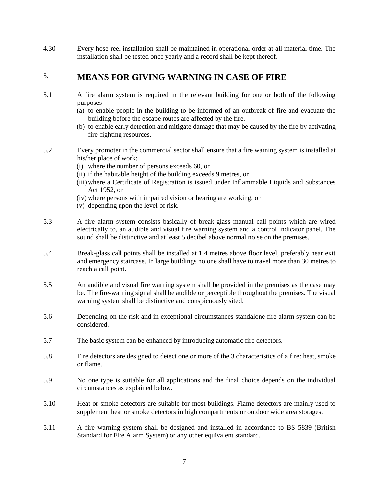4.30 Every hose reel installation shall be maintained in operational order at all material time. The installation shall be tested once yearly and a record shall be kept thereof.

# <span id="page-7-0"></span>5. **MEANS FOR GIVING WARNING IN CASE OF FIRE**

- 5.1 A fire alarm system is required in the relevant building for one or both of the following purposes-
	- (a) to enable people in the building to be informed of an outbreak of fire and evacuate the building before the escape routes are affected by the fire.
	- (b) to enable early detection and mitigate damage that may be caused by the fire by activating fire-fighting resources.
- 5.2 Every promoter in the commercial sector shall ensure that a fire warning system is installed at his/her place of work;
	- (i) where the number of persons exceeds 60, or
	- (ii) if the habitable height of the building exceeds 9 metres, or
	- (iii)where a Certificate of Registration is issued under Inflammable Liquids and Substances Act 1952, or
	- (iv) where persons with impaired vision or hearing are working, or
	- (v) depending upon the level of risk.
- 5.3 A fire alarm system consists basically of break-glass manual call points which are wired electrically to, an audible and visual fire warning system and a control indicator panel. The sound shall be distinctive and at least 5 decibel above normal noise on the premises.
- 5.4 Break-glass call points shall be installed at 1.4 metres above floor level, preferably near exit and emergency staircase. In large buildings no one shall have to travel more than 30 metres to reach a call point.
- 5.5 An audible and visual fire warning system shall be provided in the premises as the case may be. The fire-warning signal shall be audible or perceptible throughout the premises. The visual warning system shall be distinctive and conspicuously sited.
- 5.6 Depending on the risk and in exceptional circumstances standalone fire alarm system can be considered.
- 5.7 The basic system can be enhanced by introducing automatic fire detectors.
- 5.8 Fire detectors are designed to detect one or more of the 3 characteristics of a fire: heat, smoke or flame.
- 5.9 No one type is suitable for all applications and the final choice depends on the individual circumstances as explained below.
- 5.10 Heat or smoke detectors are suitable for most buildings. Flame detectors are mainly used to supplement heat or smoke detectors in high compartments or outdoor wide area storages.
- 5.11 A fire warning system shall be designed and installed in accordance to BS 5839 (British Standard for Fire Alarm System) or any other equivalent standard.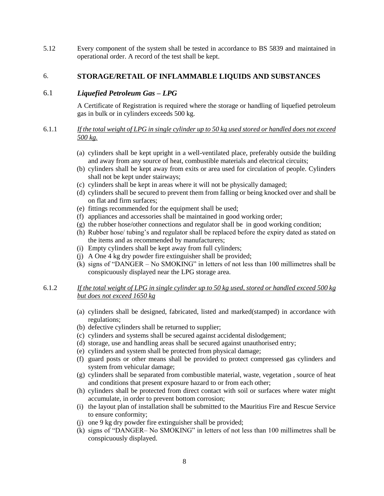5.12 Every component of the system shall be tested in accordance to BS 5839 and maintained in operational order. A record of the test shall be kept.

### <span id="page-8-0"></span>6. **STORAGE/RETAIL OF INFLAMMABLE LIQUIDS AND SUBSTANCES**

## 6.1 *Liquefied Petroleum Gas – LPG*

A Certificate of Registration is required where the storage or handling of liquefied petroleum gas in bulk or in cylinders exceeds 500 kg.

#### 6.1.1 *If the total weight of LPG in single cylinder up to 50 kg used stored or handled does not exceed 500 kg.*

- (a) cylinders shall be kept upright in a well-ventilated place, preferably outside the building and away from any source of heat, combustible materials and electrical circuits;
- (b) cylinders shall be kept away from exits or area used for circulation of people. Cylinders shall not be kept under stairways;
- (c) cylinders shall be kept in areas where it will not be physically damaged;
- (d) cylinders shall be secured to prevent them from falling or being knocked over and shall be on flat and firm surfaces;
- (e) fittings recommended for the equipment shall be used;
- (f) appliances and accessories shall be maintained in good working order;
- (g) the rubber hose/other connections and regulator shall be in good working condition;
- (h) Rubber hose/ tubing's and regulator shall be replaced before the expiry dated as stated on the items and as recommended by manufacturers;
- (i) Empty cylinders shall be kept away from full cylinders;
- (j) A One 4 kg dry powder fire extinguisher shall be provided;
- (k) signs of "DANGER No SMOKING" in letters of not less than 100 millimetres shall be conspicuously displayed near the LPG storage area.

## 6.1.2 *If the total weight of LPG in single cylinder up to 50 kg used, stored or handled exceed 500 kg but does not exceed 1650 kg*

- (a) cylinders shall be designed, fabricated, listed and marked(stamped) in accordance with regulations;
- (b) defective cylinders shall be returned to supplier;
- (c) cylinders and systems shall be secured against accidental dislodgement;
- (d) storage, use and handling areas shall be secured against unauthorised entry;
- (e) cylinders and system shall be protected from physical damage;
- (f) guard posts or other means shall be provided to protect compressed gas cylinders and system from vehicular damage;
- (g) cylinders shall be separated from combustible material, waste, vegetation , source of heat and conditions that present exposure hazard to or from each other;
- (h) cylinders shall be protected from direct contact with soil or surfaces where water might accumulate, in order to prevent bottom corrosion;
- (i) the layout plan of installation shall be submitted to the Mauritius Fire and Rescue Service to ensure conformity;
- (j) one 9 kg dry powder fire extinguisher shall be provided;
- (k) signs of "DANGER– No SMOKING" in letters of not less than 100 millimetres shall be conspicuously displayed.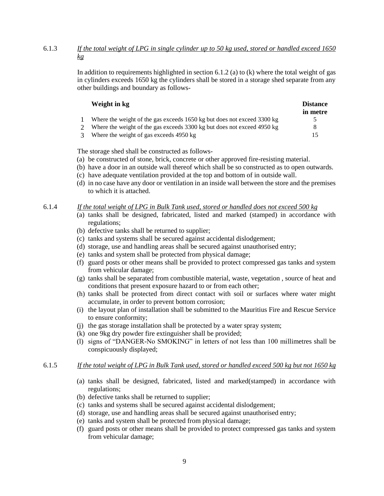## 6.1.3 *If the total weight of LPG in single cylinder up to 50 kg used, stored or handled exceed 1650 kg*

In addition to requirements highlighted in section 6.1.2 (a) to  $(k)$  where the total weight of gas in cylinders exceeds 1650 kg the cylinders shall be stored in a storage shed separate from any other buildings and boundary as follows-

#### **Weight in kg Distance**

|                                                                         | in metre |
|-------------------------------------------------------------------------|----------|
| Where the weight of the gas exceeds 1650 kg but does not exceed 3300 kg |          |
| Where the weight of the gas exceeds 3300 kg but does not exceed 4050 kg |          |

Where the weight of the gas exceeds 3300 kg but does not exceed 4950 kg 3 Where the weight of gas exceeds 4950 kg 15

The storage shed shall be constructed as follows-

- (a) be constructed of stone, brick, concrete or other approved fire-resisting material.
- (b) have a door in an outside wall thereof which shall be so constructed as to open outwards.
- (c) have adequate ventilation provided at the top and bottom of in outside wall.
- (d) in no case have any door or ventilation in an inside wall between the store and the premises to which it is attached.

#### 6.1.4 *If the total weight of LPG in Bulk Tank used, stored or handled does not exceed 500 kg*

- (a) tanks shall be designed, fabricated, listed and marked (stamped) in accordance with regulations;
- (b) defective tanks shall be returned to supplier;
- (c) tanks and systems shall be secured against accidental dislodgement;
- (d) storage, use and handling areas shall be secured against unauthorised entry;
- (e) tanks and system shall be protected from physical damage;
- (f) guard posts or other means shall be provided to protect compressed gas tanks and system from vehicular damage;
- (g) tanks shall be separated from combustible material, waste, vegetation , source of heat and conditions that present exposure hazard to or from each other;
- (h) tanks shall be protected from direct contact with soil or surfaces where water might accumulate, in order to prevent bottom corrosion;
- (i) the layout plan of installation shall be submitted to the Mauritius Fire and Rescue Service to ensure conformity;
- (j) the gas storage installation shall be protected by a water spray system;
- (k) one 9kg dry powder fire extinguisher shall be provided;
- (l) signs of "DANGER-No SMOKING" in letters of not less than 100 millimetres shall be conspicuously displayed;

## 6.1.5 *If the total weight of LPG in Bulk Tank used, stored or handled exceed 500 kg but not 1650 kg*

- (a) tanks shall be designed, fabricated, listed and marked(stamped) in accordance with regulations;
- (b) defective tanks shall be returned to supplier;
- (c) tanks and systems shall be secured against accidental dislodgement;
- (d) storage, use and handling areas shall be secured against unauthorised entry;
- (e) tanks and system shall be protected from physical damage;
- (f) guard posts or other means shall be provided to protect compressed gas tanks and system from vehicular damage;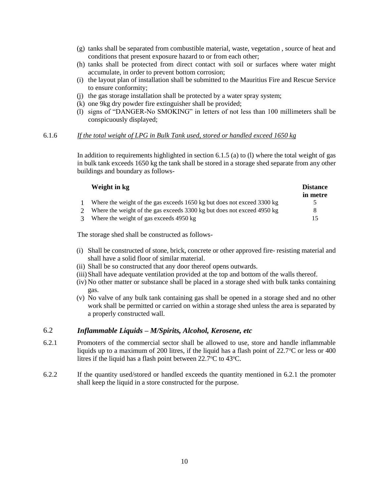- (g) tanks shall be separated from combustible material, waste, vegetation , source of heat and conditions that present exposure hazard to or from each other;
- (h) tanks shall be protected from direct contact with soil or surfaces where water might accumulate, in order to prevent bottom corrosion;
- (i) the layout plan of installation shall be submitted to the Mauritius Fire and Rescue Service to ensure conformity;
- (j) the gas storage installation shall be protected by a water spray system;
- (k) one 9kg dry powder fire extinguisher shall be provided;
- (l) signs of "DANGER-No SMOKING" in letters of not less than 100 millimeters shall be conspicuously displayed;

#### 6.1.6 *If the total weight of LPG in Bulk Tank used, stored or handled exceed 1650 kg*

In addition to requirements highlighted in section 6.1.5 (a) to (1) where the total weight of gas in bulk tank exceeds 1650 kg the tank shall be stored in a storage shed separate from any other buildings and boundary as follows-

|   | Weight in kg                                                            | <b>Distance</b><br>in metre |
|---|-------------------------------------------------------------------------|-----------------------------|
|   | Where the weight of the gas exceeds 1650 kg but does not exceed 3300 kg |                             |
|   | Where the weight of the gas exceeds 3300 kg but does not exceed 4950 kg | x                           |
| 3 | Where the weight of gas exceeds 4950 kg                                 |                             |

The storage shed shall be constructed as follows-

- (i) Shall be constructed of stone, brick, concrete or other approved fire- resisting material and shall have a solid floor of similar material.
- (ii) Shall be so constructed that any door thereof opens outwards.
- (iii)Shall have adequate ventilation provided at the top and bottom of the walls thereof.
- (iv) No other matter or substance shall be placed in a storage shed with bulk tanks containing gas.
- (v) No valve of any bulk tank containing gas shall be opened in a storage shed and no other work shall be permitted or carried on within a storage shed unless the area is separated by a properly constructed wall.

#### 6.2 *Inflammable Liquids – M/Spirits, Alcohol, Kerosene, etc*

- 6.2.1 Promoters of the commercial sector shall be allowed to use, store and handle inflammable liquids up to a maximum of 200 litres, if the liquid has a flash point of  $22.7^{\circ}$ C or less or 400 litres if the liquid has a flash point between  $22.7^{\circ}$ C to  $43^{\circ}$ C.
- 6.2.2 If the quantity used/stored or handled exceeds the quantity mentioned in 6.2.1 the promoter shall keep the liquid in a store constructed for the purpose.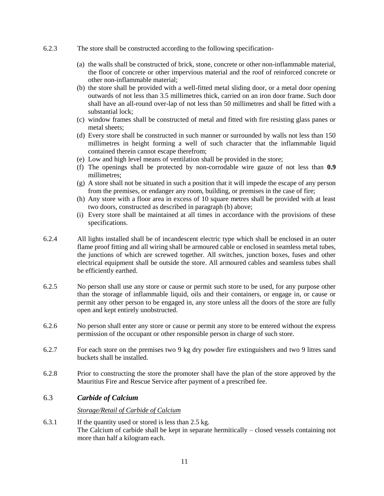- 6.2.3 The store shall be constructed according to the following specification-
	- (a) the walls shall be constructed of brick, stone, concrete or other non-inflammable material, the floor of concrete or other impervious material and the roof of reinforced concrete or other non-inflammable material;
	- (b) the store shall be provided with a well-fitted metal sliding door, or a metal door opening outwards of not less than 3.5 millimetres thick, carried on an iron door frame. Such door shall have an all-round over-lap of not less than 50 millimetres and shall be fitted with a substantial lock;
	- (c) window frames shall be constructed of metal and fitted with fire resisting glass panes or metal sheets;
	- (d) Every store shall be constructed in such manner or surrounded by walls not less than 150 millimetres in height forming a well of such character that the inflammable liquid contained therein cannot escape therefrom;
	- (e) Low and high level means of ventilation shall be provided in the store;
	- (f) The openings shall be protected by non-corrodable wire gauze of not less than **0.9** millimetres;
	- (g) A store shall not be situated in such a position that it will impede the escape of any person from the premises, or endanger any room, building, or premises in the case of fire;
	- (h) Any store with a floor area in excess of 10 square metres shall be provided with at least two doors, constructed as described in paragraph (b) above;
	- (i) Every store shall be maintained at all times in accordance with the provisions of these specifications.
- 6.2.4 All lights installed shall be of incandescent electric type which shall be enclosed in an outer flame proof fitting and all wiring shall be armoured cable or enclosed in seamless metal tubes, the junctions of which are screwed together. All switches, junction boxes, fuses and other electrical equipment shall be outside the store. All armoured cables and seamless tubes shall be efficiently earthed.
- 6.2.5 No person shall use any store or cause or permit such store to be used, for any purpose other than the storage of inflammable liquid, oils and their containers, or engage in, or cause or permit any other person to be engaged in, any store unless all the doors of the store are fully open and kept entirely unobstructed.
- 6.2.6 No person shall enter any store or cause or permit any store to be entered without the express permission of the occupant or other responsible person in charge of such store.
- 6.2.7 For each store on the premises two 9 kg dry powder fire extinguishers and two 9 litres sand buckets shall be installed.
- 6.2.8 Prior to constructing the store the promoter shall have the plan of the store approved by the Mauritius Fire and Rescue Service after payment of a prescribed fee.

#### 6.3 *Carbide of Calcium*

#### *Storage/Retail of Carbide of Calcium*

6.3.1 If the quantity used or stored is less than 2.5 kg. The Calcium of carbide shall be kept in separate hermitically – closed vessels containing not more than half a kilogram each.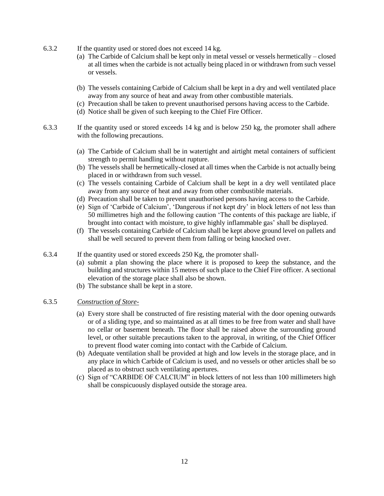- 6.3.2 If the quantity used or stored does not exceed 14 kg.
	- (a) The Carbide of Calcium shall be kept only in metal vessel or vessels hermetically closed at all times when the carbide is not actually being placed in or withdrawn from such vessel or vessels.
	- (b) The vessels containing Carbide of Calcium shall be kept in a dry and well ventilated place away from any source of heat and away from other combustible materials.
	- (c) Precaution shall be taken to prevent unauthorised persons having access to the Carbide.
	- (d) Notice shall be given of such keeping to the Chief Fire Officer.
- 6.3.3 If the quantity used or stored exceeds 14 kg and is below 250 kg, the promoter shall adhere with the following precautions.
	- (a) The Carbide of Calcium shall be in watertight and airtight metal containers of sufficient strength to permit handling without rupture.
	- (b) The vessels shall be hermetically-closed at all times when the Carbide is not actually being placed in or withdrawn from such vessel.
	- (c) The vessels containing Carbide of Calcium shall be kept in a dry well ventilated place away from any source of heat and away from other combustible materials.
	- (d) Precaution shall be taken to prevent unauthorised persons having access to the Carbide.
	- (e) Sign of 'Carbide of Calcium', 'Dangerous if not kept dry' in block letters of not less than 50 millimetres high and the following caution 'The contents of this package are liable, if brought into contact with moisture, to give highly inflammable gas' shall be displayed.
	- (f) The vessels containing Carbide of Calcium shall be kept above ground level on pallets and shall be well secured to prevent them from falling or being knocked over.
- 6.3.4 If the quantity used or stored exceeds 250 Kg, the promoter shall-
	- (a) submit a plan showing the place where it is proposed to keep the substance, and the building and structures within 15 metres of such place to the Chief Fire officer. A sectional elevation of the storage place shall also be shown.
	- (b) The substance shall be kept in a store.

#### 6.3.5 *Construction of Store-*

- (a) Every store shall be constructed of fire resisting material with the door opening outwards or of a sliding type, and so maintained as at all times to be free from water and shall have no cellar or basement beneath. The floor shall be raised above the surrounding ground level, or other suitable precautions taken to the approval, in writing, of the Chief Officer to prevent flood water coming into contact with the Carbide of Calcium.
- (b) Adequate ventilation shall be provided at high and low levels in the storage place, and in any place in which Carbide of Calcium is used, and no vessels or other articles shall be so placed as to obstruct such ventilating apertures.
- (c) Sign of "CARBIDE OF CALCIUM" in block letters of not less than 100 millimeters high shall be conspicuously displayed outside the storage area.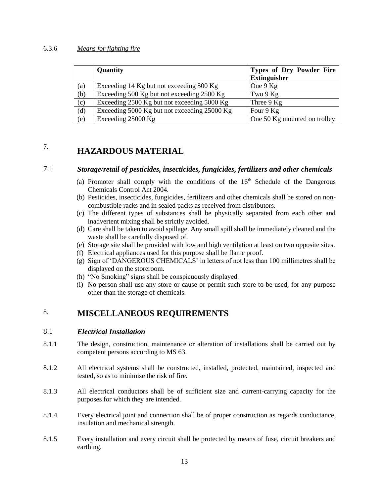#### 6.3.6 *Means for fighting fire*

|     | Quantity                                     | Types of Dry Powder Fire<br><b>Extinguisher</b> |
|-----|----------------------------------------------|-------------------------------------------------|
| (a) | Exceeding 14 Kg but not exceeding 500 Kg     | One 9 Kg                                        |
| (b) | Exceeding 500 Kg but not exceeding 2500 Kg   | Two $9$ Kg                                      |
| (c) | Exceeding 2500 Kg but not exceeding 5000 Kg  | Three $9$ Kg                                    |
| (d) | Exceeding 5000 Kg but not exceeding 25000 Kg | Four 9 Kg                                       |
| (e) | Exceeding 25000 Kg                           | One 50 Kg mounted on trolley                    |

# <span id="page-13-0"></span>7. **HAZARDOUS MATERIAL**

## 7.1 *Storage/retail of pesticides, insecticides, fungicides, fertilizers and other chemicals*

- (a) Promoter shall comply with the conditions of the  $16<sup>th</sup>$  Schedule of the Dangerous Chemicals Control Act 2004.
- (b) Pesticides, insecticides, fungicides, fertilizers and other chemicals shall be stored on noncombustible racks and in sealed packs as received from distributors.
- (c) The different types of substances shall be physically separated from each other and inadvertent mixing shall be strictly avoided.
- (d) Care shall be taken to avoid spillage. Any small spill shall be immediately cleaned and the waste shall be carefully disposed of.
- (e) Storage site shall be provided with low and high ventilation at least on two opposite sites.
- (f) Electrical appliances used for this purpose shall be flame proof.
- (g) Sign of 'DANGEROUS CHEMICALS' in letters of not less than 100 millimetres shall be displayed on the storeroom.
- (h) "No Smoking" signs shall be conspicuously displayed.
- <span id="page-13-1"></span>(i) No person shall use any store or cause or permit such store to be used, for any purpose other than the storage of chemicals.

# 8. **MISCELLANEOUS REQUIREMENTS**

#### 8.1 *Electrical Installation*

- 8.1.1 The design, construction, maintenance or alteration of installations shall be carried out by competent persons according to MS 63.
- 8.1.2 All electrical systems shall be constructed, installed, protected, maintained, inspected and tested, so as to minimise the risk of fire.
- 8.1.3 All electrical conductors shall be of sufficient size and current-carrying capacity for the purposes for which they are intended.
- 8.1.4 Every electrical joint and connection shall be of proper construction as regards conductance, insulation and mechanical strength.
- 8.1.5 Every installation and every circuit shall be protected by means of fuse, circuit breakers and earthing.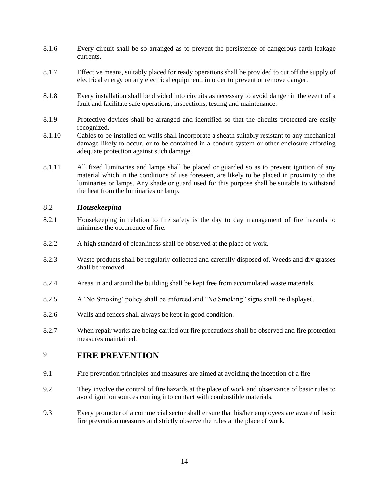- 8.1.6 Every circuit shall be so arranged as to prevent the persistence of dangerous earth leakage currents.
- 8.1.7 Effective means, suitably placed for ready operations shall be provided to cut off the supply of electrical energy on any electrical equipment, in order to prevent or remove danger.
- 8.1.8 Every installation shall be divided into circuits as necessary to avoid danger in the event of a fault and facilitate safe operations, inspections, testing and maintenance.
- 8.1.9 Protective devices shall be arranged and identified so that the circuits protected are easily recognized.
- 8.1.10 Cables to be installed on walls shall incorporate a sheath suitably resistant to any mechanical damage likely to occur, or to be contained in a conduit system or other enclosure affording adequate protection against such damage.
- 8.1.11 All fixed luminaries and lamps shall be placed or guarded so as to prevent ignition of any material which in the conditions of use foreseen, are likely to be placed in proximity to the luminaries or lamps. Any shade or guard used for this purpose shall be suitable to withstand the heat from the luminaries or lamp.

# 8.2 *Housekeeping*

- 8.2.1 Housekeeping in relation to fire safety is the day to day management of fire hazards to minimise the occurrence of fire.
- 8.2.2 A high standard of cleanliness shall be observed at the place of work.
- 8.2.3 Waste products shall be regularly collected and carefully disposed of. Weeds and dry grasses shall be removed.
- 8.2.4 Areas in and around the building shall be kept free from accumulated waste materials.
- 8.2.5 A 'No Smoking' policy shall be enforced and "No Smoking" signs shall be displayed.
- 8.2.6 Walls and fences shall always be kept in good condition.
- 8.2.7 When repair works are being carried out fire precautions shall be observed and fire protection measures maintained.

# <span id="page-14-0"></span>9 **FIRE PREVENTION**

- 9.1 Fire prevention principles and measures are aimed at avoiding the inception of a fire
- 9.2 They involve the control of fire hazards at the place of work and observance of basic rules to avoid ignition sources coming into contact with combustible materials.
- 9.3 Every promoter of a commercial sector shall ensure that his/her employees are aware of basic fire prevention measures and strictly observe the rules at the place of work.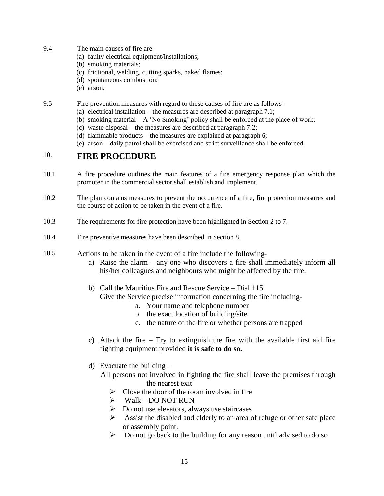- 9.4 The main causes of fire are-
	- (a) faulty electrical equipment/installations;
	- (b) smoking materials;
	- (c) frictional, welding, cutting sparks, naked flames;
	- (d) spontaneous combustion;
	- (e) arson.

9.5 Fire prevention measures with regard to these causes of fire are as follows-

- (a) electrical installation the measures are described at paragraph 7.1;
- (b) smoking material A 'No Smoking' policy shall be enforced at the place of work;
- (c) waste disposal the measures are described at paragraph 7.2;
- (d) flammable products the measures are explained at paragraph 6;
- <span id="page-15-0"></span>(e) arson – daily patrol shall be exercised and strict surveillance shall be enforced.

# 10. **FIRE PROCEDURE**

- 10.1 A fire procedure outlines the main features of a fire emergency response plan which the promoter in the commercial sector shall establish and implement.
- 10.2 The plan contains measures to prevent the occurrence of a fire, fire protection measures and the course of action to be taken in the event of a fire.
- 10.3 The requirements for fire protection have been highlighted in Section 2 to 7.
- 10.4 Fire preventive measures have been described in Section 8.
- 10.5 Actions to be taken in the event of a fire include the following
	- a) Raise the alarm any one who discovers a fire shall immediately inform all his/her colleagues and neighbours who might be affected by the fire.
	- b) Call the Mauritius Fire and Rescue Service Dial 115
		- Give the Service precise information concerning the fire including
			- a. Your name and telephone number
			- b. the exact location of building/site
			- c. the nature of the fire or whether persons are trapped
	- c) Attack the fire Try to extinguish the fire with the available first aid fire fighting equipment provided **it is safe to do so.**
	- d) Evacuate the building –

All persons not involved in fighting the fire shall leave the premises through the nearest exit

- $\triangleright$  Close the door of the room involved in fire
- $\triangleright$  Walk DO NOT RUN
- $\triangleright$  Do not use elevators, always use staircases
- $\triangleright$  Assist the disabled and elderly to an area of refuge or other safe place or assembly point.
- $\triangleright$  Do not go back to the building for any reason until advised to do so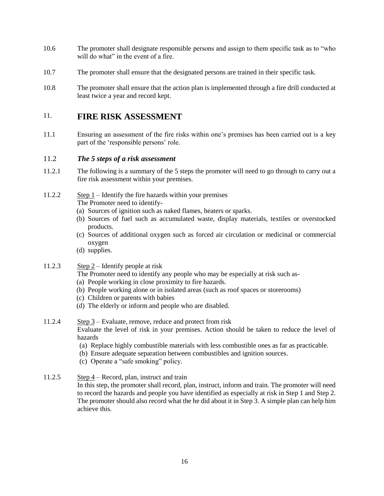- 10.6 The promoter shall designate responsible persons and assign to them specific task as to "who will do what" in the event of a fire.
- 10.7 The promoter shall ensure that the designated persons are trained in their specific task.
- 10.8 The promoter shall ensure that the action plan is implemented through a fire drill conducted at least twice a year and record kept.

# <span id="page-16-0"></span>11. **FIRE RISK ASSESSMENT**

11.1 Ensuring an assessment of the fire risks within one's premises has been carried out is a key part of the 'responsible persons' role.

## 11.2 *The 5 steps of a risk assessment*

- 11.2.1 The following is a summary of the 5 steps the promoter will need to go through to carry out a fire risk assessment within your premises.
- 11.2.2 Step 1 Identify the fire hazards within your premises The Promoter need to identify-
	- (a) Sources of ignition such as naked flames, heaters or sparks.
	- (b) Sources of fuel such as accumulated waste, display materials, textiles or overstocked products.
	- (c) Sources of additional oxygen such as forced air circulation or medicinal or commercial oxygen
	- (d) supplies.
- 11.2.3 Step 2 Identify people at risk
	- The Promoter need to identify any people who may be especially at risk such as-
	- (a) People working in close proximity to fire hazards.
	- (b) People working alone or in isolated areas (such as roof spaces or storerooms)
	- (c) Children or parents with babies
	- (d) The elderly or inform and people who are disabled.
- 11.2.4 Step 3 Evaluate, remove, reduce and protect from risk Evaluate the level of risk in your premises. Action should be taken to reduce the level of hazards
	- (a) Replace highly combustible materials with less combustible ones as far as practicable.
	- (b) Ensure adequate separation between combustibles and ignition sources.
	- (c) Operate a "safe smoking" policy.
- 11.2.5 Step 4 Record, plan, instruct and train

In this step, the promoter shall record, plan, instruct, inform and train. The promoter will need to record the hazards and people you have identified as especially at risk in Step 1 and Step 2. The promoter should also record what the he did about it in Step 3. A simple plan can help him achieve this.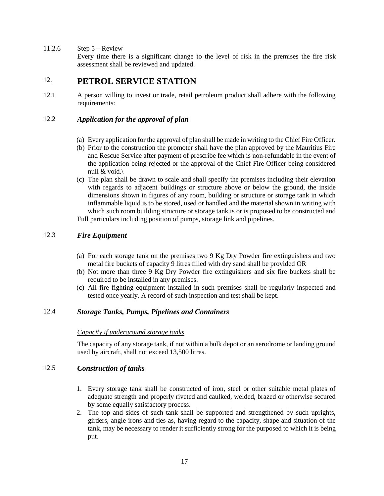11.2.6 Step  $5 -$  Review

<span id="page-17-0"></span>Every time there is a significant change to the level of risk in the premises the fire risk assessment shall be reviewed and updated.

# 12. **PETROL SERVICE STATION**

12.1 A person willing to invest or trade, retail petroleum product shall adhere with the following requirements:

# 12.2 *Application for the approval of plan*

- (a) Every application for the approval of plan shall be made in writing to the Chief Fire Officer.
- (b) Prior to the construction the promoter shall have the plan approved by the Mauritius Fire and Rescue Service after payment of prescribe fee which is non-refundable in the event of the application being rejected or the approval of the Chief Fire Officer being considered null & void.\
- (c) The plan shall be drawn to scale and shall specify the premises including their elevation with regards to adjacent buildings or structure above or below the ground, the inside dimensions shown in figures of any room, building or structure or storage tank in which inflammable liquid is to be stored, used or handled and the material shown in writing with which such room building structure or storage tank is or is proposed to be constructed and Full particulars including position of pumps, storage link and pipelines.

## 12.3 *Fire Equipment*

- (a) For each storage tank on the premises two 9 Kg Dry Powder fire extinguishers and two metal fire buckets of capacity 9 litres filled with dry sand shall be provided OR
- (b) Not more than three 9 Kg Dry Powder fire extinguishers and six fire buckets shall be required to be installed in any premises.
- (c) All fire fighting equipment installed in such premises shall be regularly inspected and tested once yearly. A record of such inspection and test shall be kept.

# 12.4 *Storage Tanks, Pumps, Pipelines and Containers*

#### *Capacity if underground storage tanks*

The capacity of any storage tank, if not within a bulk depot or an aerodrome or landing ground used by aircraft, shall not exceed 13,500 litres.

## 12.5 *Construction of tanks*

- 1. Every storage tank shall be constructed of iron, steel or other suitable metal plates of adequate strength and properly riveted and caulked, welded, brazed or otherwise secured by some equally satisfactory process.
- 2. The top and sides of such tank shall be supported and strengthened by such uprights, girders, angle irons and ties as, having regard to the capacity, shape and situation of the tank, may be necessary to render it sufficiently strong for the purposed to which it is being put.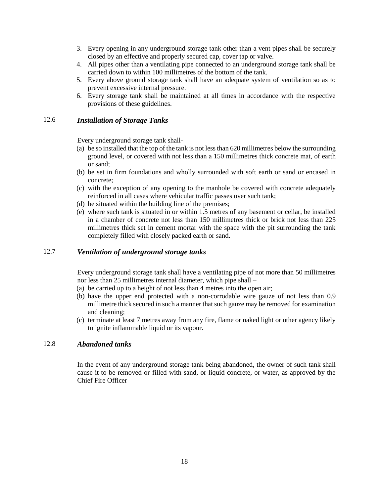- 3. Every opening in any underground storage tank other than a vent pipes shall be securely closed by an effective and properly secured cap, cover tap or valve.
- 4. All pipes other than a ventilating pipe connected to an underground storage tank shall be carried down to within 100 millimetres of the bottom of the tank.
- 5. Every above ground storage tank shall have an adequate system of ventilation so as to prevent excessive internal pressure.
- 6. Every storage tank shall be maintained at all times in accordance with the respective provisions of these guidelines.

#### 12.6 *Installation of Storage Tanks*

Every underground storage tank shall-

- (a) be so installed that the top of the tank is not less than 620 millimetres below the surrounding ground level, or covered with not less than a 150 millimetres thick concrete mat, of earth or sand;
- (b) be set in firm foundations and wholly surrounded with soft earth or sand or encased in concrete;
- (c) with the exception of any opening to the manhole be covered with concrete adequately reinforced in all cases where vehicular traffic passes over such tank;
- (d) be situated within the building line of the premises;
- (e) where such tank is situated in or within 1.5 metres of any basement or cellar, be installed in a chamber of concrete not less than 150 millimetres thick or brick not less than 225 millimetres thick set in cement mortar with the space with the pit surrounding the tank completely filled with closely packed earth or sand.

## 12.7 *Ventilation of underground storage tanks*

Every underground storage tank shall have a ventilating pipe of not more than 50 millimetres nor less than 25 millimetres internal diameter, which pipe shall –

- (a) be carried up to a height of not less than 4 metres into the open air;
- (b) have the upper end protected with a non-corrodable wire gauze of not less than 0.9 millimetre thick secured in such a manner that such gauze may be removed for examination and cleaning;
- (c) terminate at least 7 metres away from any fire, flame or naked light or other agency likely to ignite inflammable liquid or its vapour.

#### 12.8 *Abandoned tanks*

In the event of any underground storage tank being abandoned, the owner of such tank shall cause it to be removed or filled with sand, or liquid concrete, or water, as approved by the Chief Fire Officer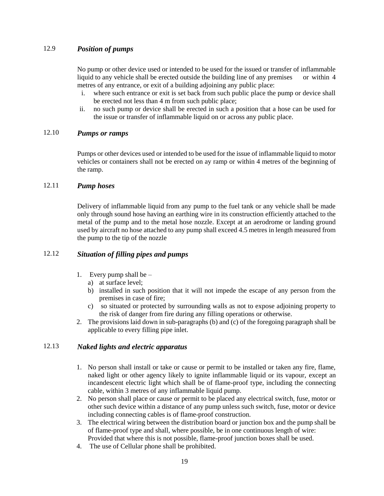## 12.9 *Position of pumps*

No pump or other device used or intended to be used for the issued or transfer of inflammable liquid to any vehicle shall be erected outside the building line of any premises or within 4 metres of any entrance, or exit of a building adjoining any public place:

- i. where such entrance or exit is set back from such public place the pump or device shall be erected not less than 4 m from such public place;
- ii. no such pump or device shall be erected in such a position that a hose can be used for the issue or transfer of inflammable liquid on or across any public place.

### 12.10 *Pumps or ramps*

Pumps or other devices used or intended to be used for the issue of inflammable liquid to motor vehicles or containers shall not be erected on ay ramp or within 4 metres of the beginning of the ramp.

## 12.11 *Pump hoses*

Delivery of inflammable liquid from any pump to the fuel tank or any vehicle shall be made only through sound hose having an earthing wire in its construction efficiently attached to the metal of the pump and to the metal hose nozzle. Except at an aerodrome or landing ground used by aircraft no hose attached to any pump shall exceed 4.5 metres in length measured from the pump to the tip of the nozzle

## 12.12 *Situation of filling pipes and pumps*

- 1. Every pump shall be  $$ 
	- a) at surface level;
	- b) installed in such position that it will not impede the escape of any person from the premises in case of fire;
	- c) so situated or protected by surrounding walls as not to expose adjoining property to the risk of danger from fire during any filling operations or otherwise.
- 2. The provisions laid down in sub-paragraphs (b) and (c) of the foregoing paragraph shall be applicable to every filling pipe inlet.

## 12.13 *Naked lights and electric apparatus*

- 1. No person shall install or take or cause or permit to be installed or taken any fire, flame, naked light or other agency likely to ignite inflammable liquid or its vapour, except an incandescent electric light which shall be of flame-proof type, including the connecting cable, within 3 metres of any inflammable liquid pump.
- 2. No person shall place or cause or permit to be placed any electrical switch, fuse, motor or other such device within a distance of any pump unless such switch, fuse, motor or device including connecting cables is of flame-proof construction.
- 3. The electrical wiring between the distribution board or junction box and the pump shall be of flame-proof type and shall, where possible, be in one continuous length of wire: Provided that where this is not possible, flame-proof junction boxes shall be used.
- 4. The use of Cellular phone shall be prohibited.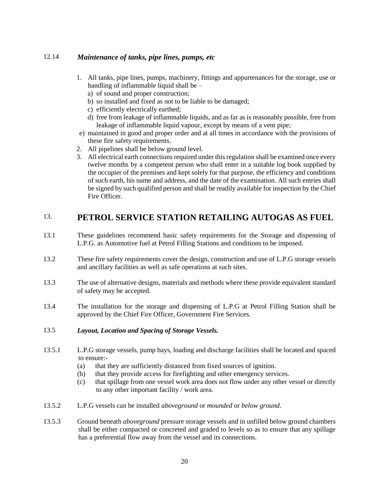## 12.14 *Maintenance of tanks, pipe lines, pumps, etc*

- 1. All tanks, pipe lines, pumps, machinery, fittings and appurtenances for the storage, use or handling of inflammable liquid shall be –
	- a) of sound and proper construction;
	- b) so installed and fixed as not to be liable to be damaged;
	- c) efficiently electrically earthed;
	- d) free from leakage of inflammable liquids, and as far as is reasonably possible, free from leakage of inflammable liquid vapour, except by means of a vent pipe;
- e) maintained in good and proper order and at all times in accordance with the provisions of these fire safety requirements.
- 2. All pipelines shall be below ground level.
- 3. All electrical earth connections required under this regulation shall be examined once every twelve months by a competent person who shall enter in a suitable log book supplied by the occupier of the premises and kept solely for that purpose, the efficiency and conditions of such earth, his name and address, and the date of the examination. All such entries shall be signed by such qualified person and shall be readily available for inspection by the Chief Fire Officer.

# <span id="page-20-0"></span>13. **PETROL SERVICE STATION RETAILING AUTOGAS AS FUEL**

- 13.1 These guidelines recommend basic safety requirements for the Storage and dispensing of L.P.G. as Automotive fuel at Petrol Filling Stations and conditions to be imposed.
- 13.2 These fire safety requirements cover the design, construction and use of L.P.G storage vessels and ancillary facilities as well as safe operations at such sites.
- 13.3 The use of alternative designs, materials and methods where these provide equivalent standard of safety may be accepted.
- 13.4 The installation for the storage and dispensing of L.P.G at Petrol Filling Station shall be approved by the Chief Fire Officer, Government Fire Services.
- 13.5 *Layout, Location and Spacing of Storage Vessels.*
- 13.5.1 L.P.G storage vessels, pump bays, loading and discharge facilities shall be located and spaced to ensure:-
	- (a) that they are sufficiently distanced from fixed sources of ignition.
	- (b) that they provide access for firefighting and other emergency services.
	- (c) that spillage from one vessel work area does not flow under any other vessel or directly to any other important facility / work area.
- 13.5.2 L.P.G vessels can be installed *aboveground* or *mounded* or *below ground*.
- 13.5.3 Ground beneath *aboveground* pressure storage vessels and in unfilled below ground chambers shall be either compacted or concreted and graded to levels so as to ensure that any spillage has a preferential flow away from the vessel and its connections.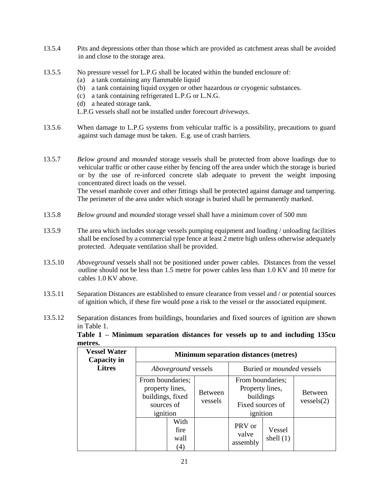- 13.5.4 Pits and depressions other than those which are provided as catchment areas shall be avoided in and close to the storage area.
- 13.5.5 No pressure vessel for L.P.G shall be located within the bunded enclosure of:
	- (a) a tank containing any flammable liquid
	- (b) a tank containing liquid oxygen or other hazardous or cryogenic substances.
	- (c) a tank containing refrigerated L.P.G or L.N.G.
	- (d) a heated storage tank.
	- L.P.G vessels shall not be installed under forecourt *driveways*.
- 13.5.6 When damage to L.P.G systems from vehicular traffic is a possibility, precautions to guard against such damage must be taken. E.g. use of crash barriers.
- 13.5.7 *Below ground* and *mounded* storage vessels shall be protected from above loadings due to vehicular traffic or other cause either by fencing off the area under which the storage is buried or by the use of re-inforced concrete slab adequate to prevent the weight imposing concentrated direct loads on the vessel. The vessel manhole cover and other fittings shall be protected against damage and tampering. The perimeter of the area under which storage is buried shall be permanently marked.
- 13.5.8 *Below ground* and *mounded* storage vessel shall have a minimum cover of 500 mm
- 13.5.9 The area which includes storage vessels pumping equipment and loading / unloading facilities shall be enclosed by a commercial type fence at least 2 metre high unless otherwise adequately protected. Adequate ventilation shall be provided.
- 13.5.10 *Aboveground* vessels shall not be positioned under power cables. Distances from the vessel outline should not be less than 1.5 metre for power cables less than 1.0 KV and 10 metre for cables 1.0 KV above.
- 13.5.11 Separation Distances are established to ensure clearance from vessel and / or potential sources of ignition which, if these fire would pose a risk to the vessel or the associated equipment.
- 13.5.12 Separation distances from buildings, boundaries and fixed sources of ignition are shown in Table 1.

| Table 1 – Minimum separation distances for vessels up to and including 135cu |  |  |  |  |  |
|------------------------------------------------------------------------------|--|--|--|--|--|
| metres.                                                                      |  |  |  |  |  |

| <b>Vessel Water</b><br>Capacity in |                                                                                   |                             |                           | <b>Minimum separation distances (metres)</b>                                     |                       |                              |
|------------------------------------|-----------------------------------------------------------------------------------|-----------------------------|---------------------------|----------------------------------------------------------------------------------|-----------------------|------------------------------|
| <b>Litres</b>                      |                                                                                   | <i>Aboveground</i> vessels  |                           | Buried or <i>mounded</i> vessels                                                 |                       |                              |
|                                    | From boundaries;<br>property lines,<br>buildings, fixed<br>sources of<br>ignition |                             | <b>Between</b><br>vessels | From boundaries;<br>Property lines,<br>buildings<br>Fixed sources of<br>ignition |                       | <b>Between</b><br>versels(2) |
|                                    |                                                                                   | With<br>fire<br>wall<br>(4) |                           | PRV or<br>valve<br>assembly                                                      | Vessel<br>shell $(1)$ |                              |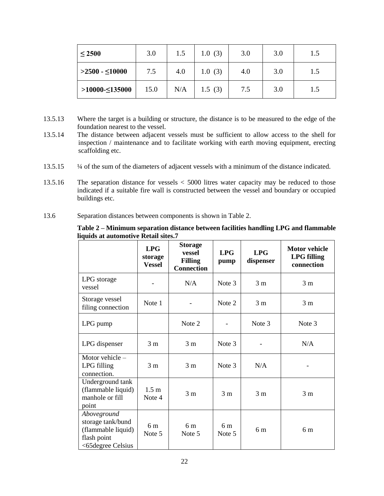| $\leq 2500$     | 3.0  | 1.5 | 1.0(3) | 3.0 | 3.0 | 1.5 |
|-----------------|------|-----|--------|-----|-----|-----|
| $>2500 - 10000$ | 7.5  | 4.0 | 1.0(3) | 4.0 | 3.0 | 1.5 |
| $>10000-135000$ | 15.0 | N/A | 1.5(3) | 7.5 | 3.0 | 1.5 |

- 13.5.13 Where the target is a building or structure, the distance is to be measured to the edge of the foundation nearest to the vessel.
- 13.5.14 The distance between adjacent vessels must be sufficient to allow access to the shell for inspection / maintenance and to facilitate working with earth moving equipment, erecting scaffolding etc.
- 13.5.15 ¼ of the sum of the diameters of adjacent vessels with a minimum of the distance indicated.
- 13.5.16 The separation distance for vessels < 5000 litres water capacity may be reduced to those indicated if a suitable fire wall is constructed between the vessel and boundary or occupied buildings etc.
- 13.6 Separation distances between components is shown in Table 2.

#### **Table 2 – Minimum separation distance between facilities handling LPG and flammable liquids at automotive Retail sites.7**

|                                                                                            | LPG<br>storage<br><b>Vessel</b> | <b>Storage</b><br>vessel<br><b>Filling</b><br><b>Connection</b> | LPG<br>pump              | LPG<br>dispenser | <b>Motor vehicle</b><br><b>LPG</b> filling<br>connection |
|--------------------------------------------------------------------------------------------|---------------------------------|-----------------------------------------------------------------|--------------------------|------------------|----------------------------------------------------------|
| LPG storage<br>vessel                                                                      |                                 | N/A                                                             | Note 3                   | 3 <sub>m</sub>   | 3 <sub>m</sub>                                           |
| Storage vessel<br>filing connection                                                        | Note 1                          |                                                                 | Note 2                   | 3 <sub>m</sub>   | 3 <sub>m</sub>                                           |
| LPG pump                                                                                   |                                 | Note 2                                                          |                          | Note 3           | Note 3                                                   |
| LPG dispenser                                                                              | 3 <sub>m</sub>                  | 3 <sub>m</sub>                                                  | Note 3                   |                  | N/A                                                      |
| Motor vehicle $-$<br>LPG filling<br>connection.                                            | 3 <sub>m</sub>                  | 3 <sub>m</sub>                                                  | Note 3                   | N/A              |                                                          |
| Underground tank<br>(flammable liquid)<br>manhole or fill<br>point                         | 1.5 <sub>m</sub><br>Note 4      | 3 <sub>m</sub>                                                  | 3 <sub>m</sub>           | 3 <sub>m</sub>   | 3m                                                       |
| Aboveground<br>storage tank/bund<br>(flammable liquid)<br>flash point<br><65degree Celsius | 6 m<br>Note 5                   | 6 <sub>m</sub><br>Note 5                                        | 6 <sub>m</sub><br>Note 5 | 6 m              | 6 m                                                      |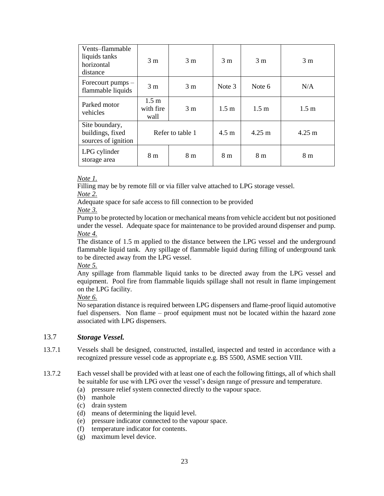| Vents-flammable<br>liquids tanks<br>horizontal<br>distance | 3 <sub>m</sub>                        | 3 <sub>m</sub>   | 3 <sub>m</sub>   | 3 <sub>m</sub>   | 3 <sub>m</sub>   |
|------------------------------------------------------------|---------------------------------------|------------------|------------------|------------------|------------------|
| Forecourt pumps –<br>flammable liquids                     | 3 <sub>m</sub>                        | 3 <sub>m</sub>   | Note 3           | Note 6           | N/A              |
| Parked motor<br>vehicles                                   | 1.5 <sub>m</sub><br>with fire<br>wall | 3 <sub>m</sub>   | 1.5 <sub>m</sub> | 1.5 <sub>m</sub> | 1.5 <sub>m</sub> |
| Site boundary,<br>buildings, fixed<br>sources of ignition  |                                       | Refer to table 1 | $4.5 \text{ m}$  | $4.25 \text{ m}$ | $4.25 \text{ m}$ |
| LPG cylinder<br>storage area                               | 8 m                                   | 8 m              | 8 m              | 8 <sub>m</sub>   | 8 m              |

#### *Note 1.*

Filling may be by remote fill or via filler valve attached to LPG storage vessel. *Note 2.*

Adequate space for safe access to fill connection to be provided

*Note 3.*

Pump to be protected by location or mechanical means from vehicle accident but not positioned under the vessel. Adequate space for maintenance to be provided around dispenser and pump. *Note 4.* 

The distance of 1.5 m applied to the distance between the LPG vessel and the underground flammable liquid tank. Any spillage of flammable liquid during filling of underground tank to be directed away from the LPG vessel.

### *Note 5.*

Any spillage from flammable liquid tanks to be directed away from the LPG vessel and equipment. Pool fire from flammable liquids spillage shall not result in flame impingement on the LPG facility.

*Note 6.* 

No separation distance is required between LPG dispensers and flame-proof liquid automotive fuel dispensers. Non flame – proof equipment must not be located within the hazard zone associated with LPG dispensers.

## 13.7 *Storage Vessel.*

- 13.7.1 Vessels shall be designed, constructed, installed, inspected and tested in accordance with a recognized pressure vessel code as appropriate e.g. BS 5500, ASME section VIII.
- 13.7.2 Each vessel shall be provided with at least one of each the following fittings, all of which shall be suitable for use with LPG over the vessel's design range of pressure and temperature.
	- (a) pressure relief system connected directly to the vapour space.
	- (b) manhole
	- (c) drain system
	- (d) means of determining the liquid level.
	- (e) pressure indicator connected to the vapour space.
	- (f) temperature indicator for contents.
	- (g) maximum level device.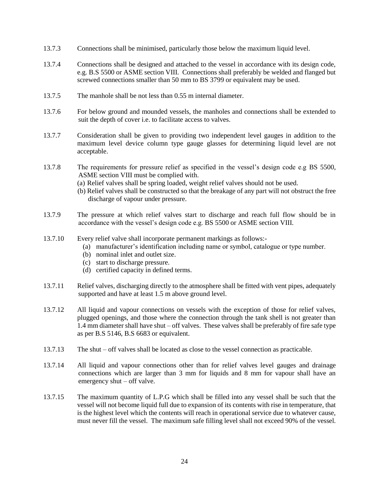- 13.7.3 Connections shall be minimised, particularly those below the maximum liquid level.
- 13.7.4 Connections shall be designed and attached to the vessel in accordance with its design code, e.g. B.S 5500 or ASME section VIII. Connections shall preferably be welded and flanged but screwed connections smaller than 50 mm to BS 3799 or equivalent may be used.
- 13.7.5 The manhole shall be not less than 0.55 m internal diameter.
- 13.7.6 For below ground and mounded vessels, the manholes and connections shall be extended to suit the depth of cover i.e. to facilitate access to valves.
- 13.7.7 Consideration shall be given to providing two independent level gauges in addition to the maximum level device column type gauge glasses for determining liquid level are not acceptable.
- 13.7.8 The requirements for pressure relief as specified in the vessel's design code e.g BS 5500, ASME section VIII must be complied with.
	- (a) Relief valves shall be spring loaded, weight relief valves should not be used.
	- (b) Relief valves shall be constructed so that the breakage of any part will not obstruct the free discharge of vapour under pressure.
- 13.7.9 The pressure at which relief valves start to discharge and reach full flow should be in accordance with the vessel's design code e.g. BS 5500 or ASME section VIII.
- 13.7.10 Every relief valve shall incorporate permanent markings as follows:-
	- (a) manufacturer's identification including name or symbol, catalogue or type number.
	- (b) nominal inlet and outlet size.
	- (c) start to discharge pressure.
	- (d) certified capacity in defined terms.
- 13.7.11 Relief valves, discharging directly to the atmosphere shall be fitted with vent pipes, adequately supported and have at least 1.5 m above ground level.
- 13.7.12 All liquid and vapour connections on vessels with the exception of those for relief valves, plugged openings, and those where the connection through the tank shell is not greater than 1.4 mm diameter shall have shut – off valves. These valves shall be preferably of fire safe type as per B.S 5146, B.S 6683 or equivalent.
- 13.7.13 The shut off valves shall be located as close to the vessel connection as practicable.
- 13.7.14 All liquid and vapour connections other than for relief valves level gauges and drainage connections which are larger than 3 mm for liquids and 8 mm for vapour shall have an emergency shut – off valve.
- 13.7.15 The maximum quantity of L.P.G which shall be filled into any vessel shall be such that the vessel will not become liquid full due to expansion of its contents with rise in temperature, that is the highest level which the contents will reach in operational service due to whatever cause, must never fill the vessel. The maximum safe filling level shall not exceed 90% of the vessel.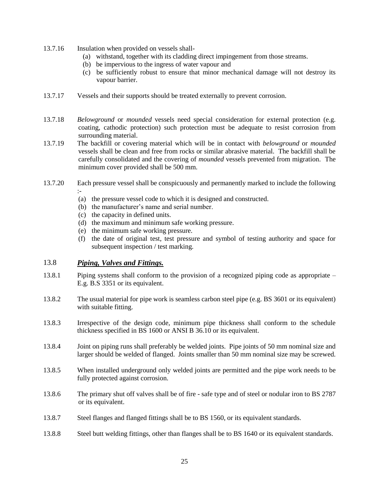- 13.7.16 Insulation when provided on vessels shall-
	- (a) withstand, together with its cladding direct impingement from those streams.
	- (b) be impervious to the ingress of water vapour and
	- (c) be sufficiently robust to ensure that minor mechanical damage will not destroy its vapour barrier.
- 13.7.17 Vessels and their supports should be treated externally to prevent corrosion.
- 13.7.18 *Belowground* or *mounded* vessels need special consideration for external protection (e.g. coating, cathodic protection) such protection must be adequate to resist corrosion from surrounding material.
- 13.7.19 The backfill or covering material which will be in contact with *belowground* or *mounded* vessels shall be clean and free from rocks or similar abrasive material. The backfill shall be carefully consolidated and the covering of *mounded* vessels prevented from migration. The minimum cover provided shall be 500 mm.
- 13.7.20 Each pressure vessel shall be conspicuously and permanently marked to include the following :-
	- (a) the pressure vessel code to which it is designed and constructed.
	- (b) the manufacturer's name and serial number.
	- (c) the capacity in defined units.
	- (d) the maximum and minimum safe working pressure.
	- (e) the minimum safe working pressure.
	- (f) the date of original test, test pressure and symbol of testing authority and space for subsequent inspection / test marking.

#### 13.8 *Piping, Valves and Fittings.*

- 13.8.1 Piping systems shall conform to the provision of a recognized piping code as appropriate E.g. B.S 3351 or its equivalent.
- 13.8.2 The usual material for pipe work is seamless carbon steel pipe (e.g. BS 3601 or its equivalent) with suitable fitting.
- 13.8.3 Irrespective of the design code, minimum pipe thickness shall conform to the schedule thickness specified in BS 1600 or ANSI B 36.10 or its equivalent.
- 13.8.4 Joint on piping runs shall preferably be welded joints. Pipe joints of 50 mm nominal size and larger should be welded of flanged. Joints smaller than 50 mm nominal size may be screwed.
- 13.8.5 When installed underground only welded joints are permitted and the pipe work needs to be fully protected against corrosion.
- 13.8.6 The primary shut off valves shall be of fire safe type and of steel or nodular iron to BS 2787 or its equivalent.
- 13.8.7 Steel flanges and flanged fittings shall be to BS 1560, or its equivalent standards.
- 13.8.8 Steel butt welding fittings, other than flanges shall be to BS 1640 or its equivalent standards.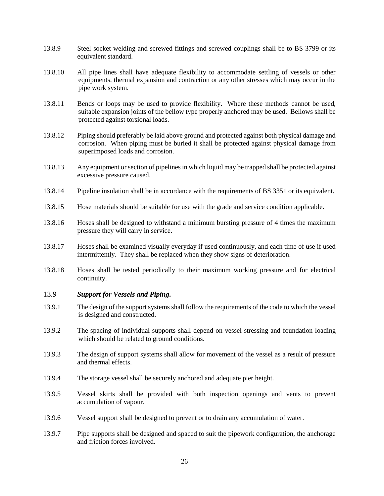- 13.8.9 Steel socket welding and screwed fittings and screwed couplings shall be to BS 3799 or its equivalent standard.
- 13.8.10 All pipe lines shall have adequate flexibility to accommodate settling of vessels or other equipments, thermal expansion and contraction or any other stresses which may occur in the pipe work system.
- 13.8.11 Bends or loops may be used to provide flexibility. Where these methods cannot be used, suitable expansion joints of the bellow type properly anchored may be used. Bellows shall be protected against torsional loads.
- 13.8.12 Piping should preferably be laid above ground and protected against both physical damage and corrosion. When piping must be buried it shall be protected against physical damage from superimposed loads and corrosion.
- 13.8.13 Any equipment or section of pipelines in which liquid may be trapped shall be protected against excessive pressure caused.
- 13.8.14 Pipeline insulation shall be in accordance with the requirements of BS 3351 or its equivalent.
- 13.8.15 Hose materials should be suitable for use with the grade and service condition applicable.
- 13.8.16 Hoses shall be designed to withstand a minimum bursting pressure of 4 times the maximum pressure they will carry in service.
- 13.8.17 Hoses shall be examined visually everyday if used continuously, and each time of use if used intermittently. They shall be replaced when they show signs of deterioration.
- 13.8.18 Hoses shall be tested periodically to their maximum working pressure and for electrical continuity.
- 13.9 *Support for Vessels and Piping.*
- 13.9.1 The design of the support systems shall follow the requirements of the code to which the vessel is designed and constructed.
- 13.9.2 The spacing of individual supports shall depend on vessel stressing and foundation loading which should be related to ground conditions.
- 13.9.3 The design of support systems shall allow for movement of the vessel as a result of pressure and thermal effects.
- 13.9.4 The storage vessel shall be securely anchored and adequate pier height.
- 13.9.5 Vessel skirts shall be provided with both inspection openings and vents to prevent accumulation of vapour.
- 13.9.6 Vessel support shall be designed to prevent or to drain any accumulation of water.
- 13.9.7 Pipe supports shall be designed and spaced to suit the pipework configuration, the anchorage and friction forces involved.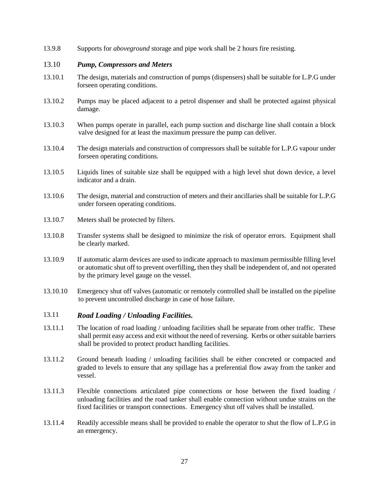13.9.8 Supports for *aboveground* storage and pipe work shall be 2 hours fire resisting.

#### 13.10 *Pump, Compressors and Meters*

- 13.10.1 The design, materials and construction of pumps (dispensers) shall be suitable for L.P.G under forseen operating conditions.
- 13.10.2 Pumps may be placed adjacent to a petrol dispenser and shall be protected against physical damage.
- 13.10.3 When pumps operate in parallel, each pump suction and discharge line shall contain a block valve designed for at least the maximum pressure the pump can deliver.
- 13.10.4 The design materials and construction of compressors shall be suitable for L.P.G vapour under forseen operating conditions.
- 13.10.5 Liquids lines of suitable size shall be equipped with a high level shut down device, a level indicator and a drain.
- 13.10.6 The design, material and construction of meters and their ancillaries shall be suitable for L.P.G under forseen operating conditions.
- 13.10.7 Meters shall be protected by filters.
- 13.10.8 Transfer systems shall be designed to minimize the risk of operator errors. Equipment shall be clearly marked.
- 13.10.9 If automatic alarm devices are used to indicate approach to maximum permissible filling level or automatic shut off to prevent overfilling, then they shall be independent of, and not operated by the primary level gauge on the vessel.
- 13.10.10 Emergency shut off valves (automatic or remotely controlled shall be installed on the pipeline to prevent uncontrolled discharge in case of hose failure.

## 13.11 *Road Loading / Unloading Facilities.*

- 13.11.1 The location of road loading / unloading facilities shall be separate from other traffic. These shall permit easy access and exit without the need of reversing. Kerbs or other suitable barriers shall be provided to protect product handling facilities.
- 13.11.2 Ground beneath loading / unloading facilities shall be either concreted or compacted and graded to levels to ensure that any spillage has a preferential flow away from the tanker and vessel.
- 13.11.3 Flexible connections articulated pipe connections or hose between the fixed loading / unloading facilities and the road tanker shall enable connection without undue strains on the fixed facilities or transport connections. Emergency shut off valves shall be installed.
- 13.11.4 Readily accessible means shall be provided to enable the operator to shut the flow of L.P.G in an emergency.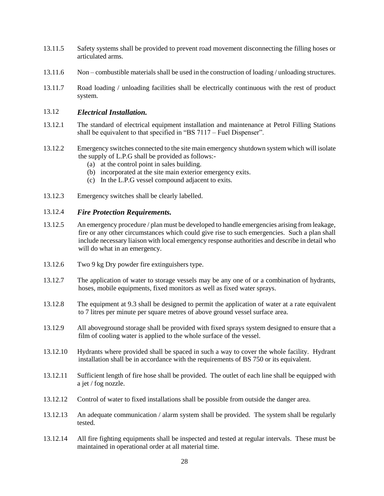- 13.11.5 Safety systems shall be provided to prevent road movement disconnecting the filling hoses or articulated arms.
- 13.11.6 Non combustible materials shall be used in the construction of loading / unloading structures.
- 13.11.7 Road loading / unloading facilities shall be electrically continuous with the rest of product system.

#### 13.12 *Electrical Installation.*

- 13.12.1 The standard of electrical equipment installation and maintenance at Petrol Filling Stations shall be equivalent to that specified in "BS 7117 – Fuel Dispenser".
- 13.12.2 Emergency switches connected to the site main emergency shutdown system which will isolate the supply of L.P.G shall be provided as follows:-
	- (a) at the control point in sales building.
	- (b) incorporated at the site main exterior emergency exits.
	- (c) In the L.P.G vessel compound adjacent to exits.
- 13.12.3 Emergency switches shall be clearly labelled.

#### 13.12.4 *Fire Protection Requirements.*

- 13.12.5 An emergency procedure / plan must be developed to handle emergencies arising from leakage, fire or any other circumstances which could give rise to such emergencies. Such a plan shall include necessary liaison with local emergency response authorities and describe in detail who will do what in an emergency.
- 13.12.6 Two 9 kg Dry powder fire extinguishers type.
- 13.12.7 The application of water to storage vessels may be any one of or a combination of hydrants, hoses, mobile equipments, fixed monitors as well as fixed water sprays.
- 13.12.8 The equipment at 9.3 shall be designed to permit the application of water at a rate equivalent to 7 litres per minute per square metres of above ground vessel surface area.
- 13.12.9 All aboveground storage shall be provided with fixed sprays system designed to ensure that a film of cooling water is applied to the whole surface of the vessel.
- 13.12.10 Hydrants where provided shall be spaced in such a way to cover the whole facility. Hydrant installation shall be in accordance with the requirements of BS 750 or its equivalent.
- 13.12.11 Sufficient length of fire hose shall be provided. The outlet of each line shall be equipped with a jet / fog nozzle.
- 13.12.12 Control of water to fixed installations shall be possible from outside the danger area.
- 13.12.13 An adequate communication / alarm system shall be provided. The system shall be regularly tested.
- 13.12.14 All fire fighting equipments shall be inspected and tested at regular intervals. These must be maintained in operational order at all material time.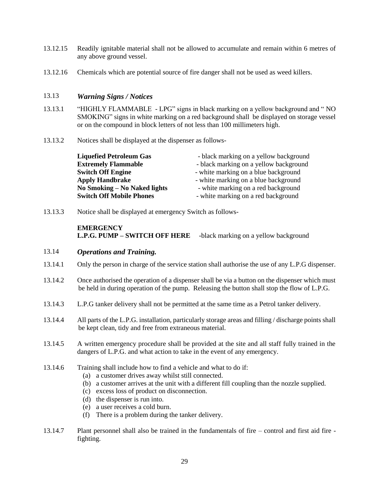- 13.12.15 Readily ignitable material shall not be allowed to accumulate and remain within 6 metres of any above ground vessel.
- 13.12.16 Chemicals which are potential source of fire danger shall not be used as weed killers.

#### 13.13 *Warning Signs / Notices*

- 13.13.1 "HIGHLY FLAMMABLE LPG" signs in black marking on a yellow background and " NO SMOKING" signs in white marking on a red background shall be displayed on storage vessel or on the compound in block letters of not less than 100 millimeters high.
- 13.13.2 Notices shall be displayed at the dispenser as follows-

| <b>Liquefied Petroleum Gas</b>  | - black marking on a yellow background |
|---------------------------------|----------------------------------------|
| <b>Extremely Flammable</b>      | - black marking on a yellow background |
| <b>Switch Off Engine</b>        | - white marking on a blue background   |
| <b>Apply Handbrake</b>          | - white marking on a blue background   |
| No Smoking – No Naked lights    | - white marking on a red background    |
| <b>Switch Off Mobile Phones</b> | - white marking on a red background    |

13.13.3 Notice shall be displayed at emergency Switch as follows-

## **EMERGENCY L.P.G. PUMP – SWITCH OFF HERE** -black marking on a yellow background

## 13.14 *Operations and Training.*

- 13.14.1 Only the person in charge of the service station shall authorise the use of any L.P.G dispenser.
- 13.14.2 Once authorised the operation of a dispenser shall be via a button on the dispenser which must be held in during operation of the pump. Releasing the button shall stop the flow of L.P.G.
- 13.14.3 L.P.G tanker delivery shall not be permitted at the same time as a Petrol tanker delivery.
- 13.14.4 All parts of the L.P.G. installation, particularly storage areas and filling / discharge points shall be kept clean, tidy and free from extraneous material.
- 13.14.5 A written emergency procedure shall be provided at the site and all staff fully trained in the dangers of L.P.G. and what action to take in the event of any emergency.
- 13.14.6 Training shall include how to find a vehicle and what to do if:
	- (a) a customer drives away whilst still connected.
	- (b) a customer arrives at the unit with a different fill coupling than the nozzle supplied.
	- (c) excess loss of product on disconnection.
	- (d) the dispenser is run into.
	- (e) a user receives a cold burn.
	- (f) There is a problem during the tanker delivery.
- 13.14.7 Plant personnel shall also be trained in the fundamentals of fire control and first aid fire fighting.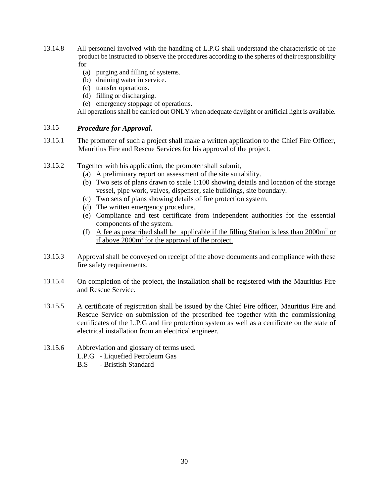- 13.14.8 All personnel involved with the handling of L.P.G shall understand the characteristic of the product be instructed to observe the procedures according to the spheres of their responsibility for
	- (a) purging and filling of systems.
	- (b) draining water in service.
	- (c) transfer operations.
	- (d) filling or discharging.
	- (e) emergency stoppage of operations.

All operations shall be carried out ONLY when adequate daylight or artificial light is available.

#### 13.15 *Procedure for Approval.*

- 13.15.1 The promoter of such a project shall make a written application to the Chief Fire Officer, Mauritius Fire and Rescue Services for his approval of the project.
- 13.15.2 Together with his application, the promoter shall submit,
	- (a) A preliminary report on assessment of the site suitability.
	- (b) Two sets of plans drawn to scale 1:100 showing details and location of the storage vessel, pipe work, valves, dispenser, sale buildings, site boundary.
	- (c) Two sets of plans showing details of fire protection system.
	- (d) The written emergency procedure.
	- (e) Compliance and test certificate from independent authorities for the essential components of the system.
	- (f) A fee as prescribed shall be applicable if the filling Station is less than  $2000m^2$  or if above 2000m<sup>2</sup> for the approval of the project.
- 13.15.3 Approval shall be conveyed on receipt of the above documents and compliance with these fire safety requirements.
- 13.15.4 On completion of the project, the installation shall be registered with the Mauritius Fire and Rescue Service.
- 13.15.5 A certificate of registration shall be issued by the Chief Fire officer, Mauritius Fire and Rescue Service on submission of the prescribed fee together with the commissioning certificates of the L.P.G and fire protection system as well as a certificate on the state of electrical installation from an electrical engineer.
- 13.15.6 Abbreviation and glossary of terms used.
	- L.P.G Liquefied Petroleum Gas
	- B.S Bristish Standard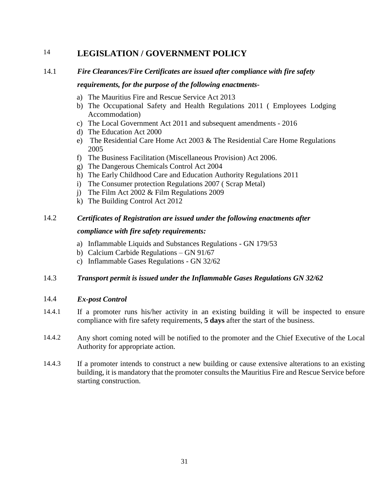# <span id="page-31-0"></span>14 **LEGISLATION / GOVERNMENT POLICY**

# 14.1 *Fire Clearances/Fire Certificates are issued after compliance with fire safety*

## *requirements, for the purpose of the following enactments-*

- a) The Mauritius Fire and Rescue Service Act 2013
- b) The Occupational Safety and Health Regulations 2011 ( Employees Lodging Accommodation)
- c) The Local Government Act 2011 and subsequent amendments 2016
- d) The Education Act 2000
- e) The Residential Care Home Act 2003 & The Residential Care Home Regulations 2005
- f) The Business Facilitation (Miscellaneous Provision) Act 2006.
- g) The Dangerous Chemicals Control Act 2004
- h) The Early Childhood Care and Education Authority Regulations 2011
- i) The Consumer protection Regulations 2007 ( Scrap Metal)
- j) The Film Act 2002 & Film Regulations 2009
- k) The Building Control Act 2012

# 14.2 *Certificates of Registration are issued under the following enactments after*

## *compliance with fire safety requirements:*

- a) Inflammable Liquids and Substances Regulations GN 179/53
- b) Calcium Carbide Regulations GN 91/67
- c) Inflammable Gases Regulations GN 32/62

# 14.3 *Transport permit is issued under the Inflammable Gases Regulations GN 32/62*

## 14.4 *Ex-post Control*

- 14.4.1 If a promoter runs his/her activity in an existing building it will be inspected to ensure compliance with fire safety requirements, **5 days** after the start of the business.
- 14.4.2 Any short coming noted will be notified to the promoter and the Chief Executive of the Local Authority for appropriate action.
- 14.4.3 If a promoter intends to construct a new building or cause extensive alterations to an existing building, it is mandatory that the promoter consults the Mauritius Fire and Rescue Service before starting construction.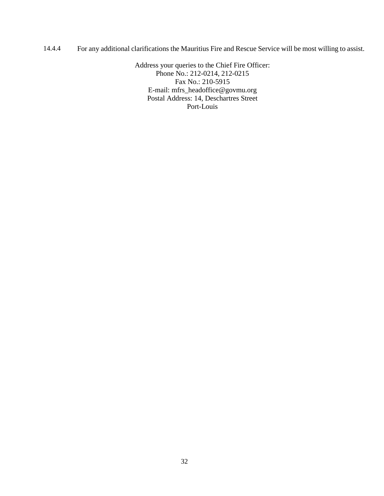14.4.4 For any additional clarifications the Mauritius Fire and Rescue Service will be most willing to assist.

Address your queries to the Chief Fire Officer: Phone No.: 212-0214, 212-0215 Fax No.: 210-5915 E-mail: mfrs\_headoffice@govmu.org Postal Address: 14, Deschartres Street Port-Louis